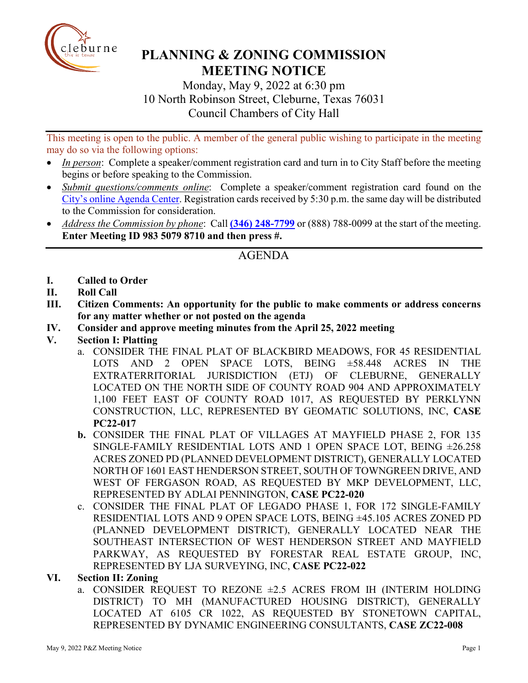

# **PLANNING & ZONING COMMISSION MEETING NOTICE**

Monday, May 9, 2022 at 6:30 pm 10 North Robinson Street, Cleburne, Texas 76031 Council Chambers of City Hall

This meeting is open to the public. A member of the general public wishing to participate in the meeting may do so via the following options:

- *In person*: Complete a speaker/comment registration card and turn in to City Staff before the meeting begins or before speaking to the Commission.
- *Submit questions/comments online*: Complete a speaker/comment registration card found on the [City's online Agenda Center.](https://www.cleburne.net/agendacenter) Registration cards received by 5:30 p.m. the same day will be distributed to the Commission for consideration.
- *Address the Commission by phone*: Call **(346) [248-7799](tel:+13127573117,,477307821)** or (888) 788-0099 at the start of the meeting. **Enter Meeting ID 983 5079 8710 and then press #.**

# AGENDA

- **I. Called to Order**
- **II. Roll Call**
- **III. Citizen Comments: An opportunity for the public to make comments or address concerns for any matter whether or not posted on the agenda**
- **IV. Consider and approve meeting minutes from the April 25, 2022 meeting**
- **V. Section I: Platting**
	- a. CONSIDER THE FINAL PLAT OF BLACKBIRD MEADOWS, FOR 45 RESIDENTIAL LOTS AND 2 OPEN SPACE LOTS, BEING ±58.448 ACRES IN THE EXTRATERRITORIAL JURISDICTION (ETJ) OF CLEBURNE, GENERALLY LOCATED ON THE NORTH SIDE OF COUNTY ROAD 904 AND APPROXIMATELY 1,100 FEET EAST OF COUNTY ROAD 1017, AS REQUESTED BY PERKLYNN CONSTRUCTION, LLC, REPRESENTED BY GEOMATIC SOLUTIONS, INC, **CASE PC22-017**
	- **b.** CONSIDER THE FINAL PLAT OF VILLAGES AT MAYFIELD PHASE 2, FOR 135 SINGLE-FAMILY RESIDENTIAL LOTS AND 1 OPEN SPACE LOT, BEING ±26.258 ACRES ZONED PD (PLANNED DEVELOPMENT DISTRICT), GENERALLY LOCATED NORTH OF 1601 EAST HENDERSON STREET, SOUTH OF TOWNGREEN DRIVE, AND WEST OF FERGASON ROAD, AS REQUESTED BY MKP DEVELOPMENT, LLC, REPRESENTED BY ADLAI PENNINGTON, **CASE PC22-020**
	- c. CONSIDER THE FINAL PLAT OF LEGADO PHASE 1, FOR 172 SINGLE-FAMILY RESIDENTIAL LOTS AND 9 OPEN SPACE LOTS, BEING ±45.105 ACRES ZONED PD (PLANNED DEVELOPMENT DISTRICT), GENERALLY LOCATED NEAR THE SOUTHEAST INTERSECTION OF WEST HENDERSON STREET AND MAYFIELD PARKWAY, AS REQUESTED BY FORESTAR REAL ESTATE GROUP, INC, REPRESENTED BY LJA SURVEYING, INC, **CASE PC22-022**

#### **VI. Section II: Zoning**

a. CONSIDER REQUEST TO REZONE  $\pm 2.5$  ACRES FROM IH (INTERIM HOLDING DISTRICT) TO MH (MANUFACTURED HOUSING DISTRICT), GENERALLY LOCATED AT 6105 CR 1022, AS REQUESTED BY STONETOWN CAPITAL, REPRESENTED BY DYNAMIC ENGINEERING CONSULTANTS, **CASE ZC22-008**